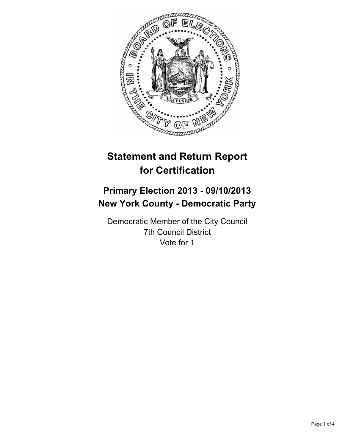

# **Statement and Return Report for Certification**

## **Primary Election 2013 - 09/10/2013 New York County - Democratic Party**

Democratic Member of the City Council 7th Council District Vote for 1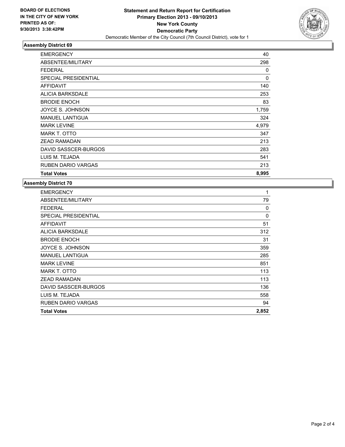

## **Assembly District 69**

| <b>EMERGENCY</b>            | 40          |
|-----------------------------|-------------|
| ABSENTEE/MILITARY           | 298         |
| <b>FEDERAL</b>              | 0           |
| <b>SPECIAL PRESIDENTIAL</b> | $\mathbf 0$ |
| <b>AFFIDAVIT</b>            | 140         |
| <b>ALICIA BARKSDALE</b>     | 253         |
| <b>BRODIE ENOCH</b>         | 83          |
| JOYCE S. JOHNSON            | 1,759       |
| <b>MANUEL LANTIGUA</b>      | 324         |
| <b>MARK LEVINE</b>          | 4,979       |
| MARK T. OTTO                | 347         |
| <b>ZEAD RAMADAN</b>         | 213         |
| DAVID SASSCER-BURGOS        | 283         |
| LUIS M. TEJADA              | 541         |
| <b>RUBEN DARIO VARGAS</b>   | 213         |
| <b>Total Votes</b>          | 8,995       |

#### **Assembly District 70**

| <b>Total Votes</b>          | 2,852 |
|-----------------------------|-------|
| <b>RUBEN DARIO VARGAS</b>   | 94    |
| LUIS M. TEJADA              | 558   |
| DAVID SASSCER-BURGOS        | 136   |
| <b>ZEAD RAMADAN</b>         | 113   |
| MARK T. OTTO                | 113   |
| <b>MARK LEVINE</b>          | 851   |
| <b>MANUEL LANTIGUA</b>      | 285   |
| JOYCE S. JOHNSON            | 359   |
| <b>BRODIE ENOCH</b>         | 31    |
| ALICIA BARKSDALE            | 312   |
| AFFIDAVIT                   | 51    |
| <b>SPECIAL PRESIDENTIAL</b> | 0     |
| <b>FEDERAL</b>              | 0     |
| ABSENTEE/MILITARY           | 79    |
| <b>EMERGENCY</b>            | 1     |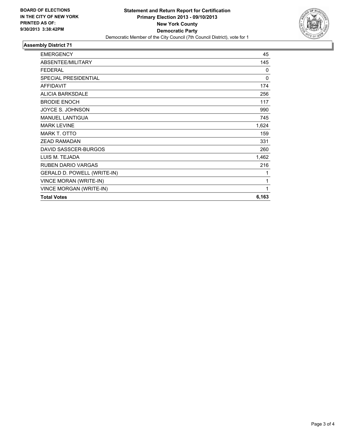

## **Assembly District 71**

| <b>EMERGENCY</b>               | 45           |
|--------------------------------|--------------|
| ABSENTEE/MILITARY              | 145          |
| <b>FEDERAL</b>                 | $\mathbf{0}$ |
| <b>SPECIAL PRESIDENTIAL</b>    | 0            |
| <b>AFFIDAVIT</b>               | 174          |
| <b>ALICIA BARKSDALE</b>        | 256          |
| <b>BRODIE ENOCH</b>            | 117          |
| JOYCE S. JOHNSON               | 990          |
| <b>MANUEL LANTIGUA</b>         | 745          |
| <b>MARK LEVINE</b>             | 1,624        |
| <b>MARK T. OTTO</b>            | 159          |
| <b>ZEAD RAMADAN</b>            | 331          |
| DAVID SASSCER-BURGOS           | 260          |
| LUIS M. TEJADA                 | 1,462        |
| <b>RUBEN DARIO VARGAS</b>      | 216          |
| GERALD D. POWELL (WRITE-IN)    | 1            |
| VINCE MORAN (WRITE-IN)         | 1            |
| <b>VINCE MORGAN (WRITE-IN)</b> | 1            |
| <b>Total Votes</b>             | 6,163        |